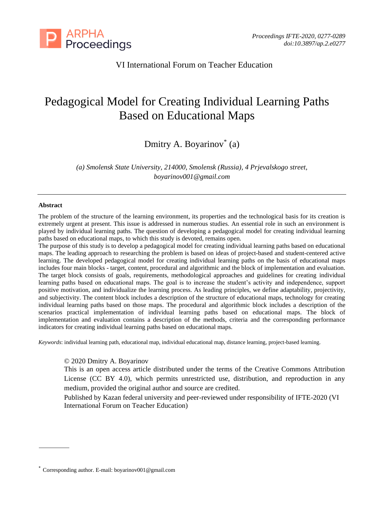

# VI International Forum on Teacher Education

# Pedagogical Model for Creating Individual Learning Paths Based on Educational Maps

Dmitry A. Boyarinov\* (a)

*(a) Smolensk State University, 214000, Smolensk (Russia), 4 Prjevalskogo street, boyarinov001@gmail.com*

#### **Abstract**

The problem of the structure of the learning environment, its properties and the technological basis for its creation is extremely urgent at present. This issue is addressed in numerous studies. An essential role in such an environment is played by individual learning paths. The question of developing a pedagogical model for creating individual learning paths based on educational maps, to which this study is devoted, remains open.

The purpose of this study is to develop a pedagogical model for creating individual learning paths based on educational maps. The leading approach to researching the problem is based on ideas of project-based and student-centered active learning. The developed pedagogical model for creating individual learning paths on the basis of educational maps includes four main blocks - target, content, procedural and algorithmic and the block of implementation and evaluation. The target block consists of goals, requirements, methodological approaches and guidelines for creating individual learning paths based on educational maps. The goal is to increase the student's activity and independence, support positive motivation, and individualize the learning process. As leading principles, we define adaptability, projectivity, and subjectivity. The content block includes a description of the structure of educational maps, technology for creating individual learning paths based on those maps. The procedural and algorithmic block includes a description of the scenarios practical implementation of individual learning paths based on educational maps. The block of implementation and evaluation contains a description of the methods, criteria and the corresponding performance indicators for creating individual learning paths based on educational maps.

*Keywords*: individual learning path, educational map, individual educational map, distance learning, project-based learning.

#### © 2020 Dmitry A. Boyarinov

This is an open access article distributed under the terms of the Creative Commons Attribution License (CC BY 4.0), which permits unrestricted use, distribution, and reproduction in any medium, provided the original author and source are credited.

Published by Kazan federal university and peer-reviewed under responsibility of IFTE-2020 (VI International Forum on Teacher Education)

<sup>\*</sup> Corresponding author. E-mail: boyarinov001@gmail.com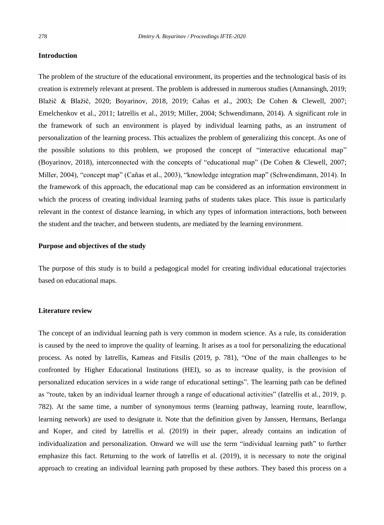### **Introduction**

The problem of the structure of the educational environment, its properties and the technological basis of its creation is extremely relevant at present. The problem is addressed in numerous studies (Annansingh, 2019; Blažič & Blažič, 2020; Boyarinov, 2018, 2019; Cañas et al., 2003; De Cohen & Clewell, 2007; Emelchenkov et al., 2011; Iatrellis et al., 2019; Miller, 2004; Schwendimann, 2014). A significant role in the framework of such an environment is played by individual learning paths, as an instrument of personalization of the learning process. This actualizes the problem of generalizing this concept. As one of the possible solutions to this problem, we proposed the concept of "interactive educational map" (Boyarinov, 2018), interconnected with the concepts of "educational map" (De Cohen & Clewell, 2007; Miller, 2004), "concept map" (Cañas et al., 2003), "knowledge integration map" (Schwendimann, 2014). In the framework of this approach, the educational map can be considered as an information environment in which the process of creating individual learning paths of students takes place. This issue is particularly relevant in the context of distance learning, in which any types of information interactions, both between the student and the teacher, and between students, are mediated by the learning environment.

# **Purpose and objectives of the study**

The purpose of this study is to build a pedagogical model for creating individual educational trajectories based on educational maps.

# **Literature review**

The concept of an individual learning path is very common in modern science. As a rule, its consideration is caused by the need to improve the quality of learning. It arises as a tool for personalizing the educational process. As noted by Iatrellis, Kameas and Fitsilis (2019, p. 781), "One of the main challenges to be confronted by Higher Educational Institutions (HEI), so as to increase quality, is the provision of personalized education services in a wide range of educational settings". The learning path can be defined as "route, taken by an individual learner through a range of educational activities" (Iatrellis et al., 2019, p. 782). At the same time, a number of synonymous terms (learning pathway, learning route, learnflow, learning network) are used to designate it. Note that the definition given by Janssen, Hermans, Berlanga and Koper, and cited by Iatrellis et al. (2019) in their paper, already contains an indication of individualization and personalization. Onward we will use the term "individual learning path" to further emphasize this fact. Returning to the work of Iatrellis et al. (2019), it is necessary to note the original approach to creating an individual learning path proposed by these authors. They based this process on a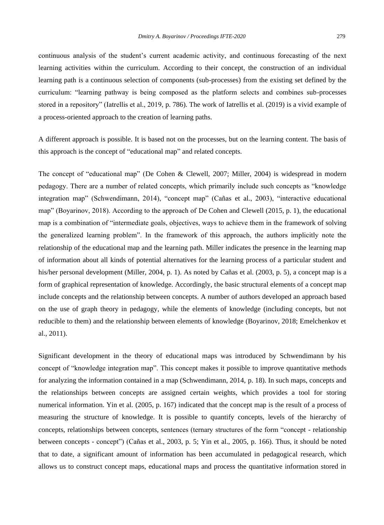continuous analysis of the student's current academic activity, and continuous forecasting of the next learning activities within the curriculum. According to their concept, the construction of an individual learning path is a continuous selection of components (sub-processes) from the existing set defined by the curriculum: "learning pathway is being composed as the platform selects and combines sub-processes stored in a repository" (Iatrellis et al., 2019, p. 786). The work of Iatrellis et al. (2019) is a vivid example of

A different approach is possible. It is based not on the processes, but on the learning content. The basis of this approach is the concept of "educational map" and related concepts.

a process-oriented approach to the creation of learning paths.

The concept of "educational map" (De Cohen & Clewell, 2007; Miller, 2004) is widespread in modern pedagogy. There are a number of related concepts, which primarily include such concepts as "knowledge integration map" (Schwendimann, 2014), "concept map" (Cañas et al., 2003), "interactive educational map" (Boyarinov, 2018). According to the approach of De Cohen and Clewell (2015, p. 1), the educational map is a combination of "intermediate goals, objectives, ways to achieve them in the framework of solving the generalized learning problem". In the framework of this approach, the authors implicitly note the relationship of the educational map and the learning path. Miller indicates the presence in the learning map of information about all kinds of potential alternatives for the learning process of a particular student and his/her personal development (Miller, 2004, p. 1). As noted by Cañas et al. (2003, p. 5), a concept map is a form of graphical representation of knowledge. Accordingly, the basic structural elements of a concept map include concepts and the relationship between concepts. A number of authors developed an approach based on the use of graph theory in pedagogy, while the elements of knowledge (including concepts, but not reducible to them) and the relationship between elements of knowledge (Boyarinov, 2018; Emelchenkov et al., 2011).

Significant development in the theory of educational maps was introduced by Schwendimann by his concept of "knowledge integration map". This concept makes it possible to improve quantitative methods for analyzing the information contained in a map (Schwendimann, 2014, p. 18). In such maps, concepts and the relationships between concepts are assigned certain weights, which provides a tool for storing numerical information. Yin et al. (2005, p. 167) indicated that the concept map is the result of a process of measuring the structure of knowledge. It is possible to quantify concepts, levels of the hierarchy of concepts, relationships between concepts, sentences (ternary structures of the form "concept - relationship between concepts - concept") (Cañas et al., 2003, p. 5; Yin et al., 2005, p. 166). Thus, it should be noted that to date, a significant amount of information has been accumulated in pedagogical research, which allows us to construct concept maps, educational maps and process the quantitative information stored in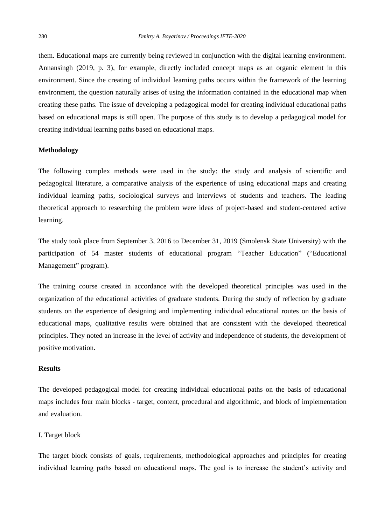them. Educational maps are currently being reviewed in conjunction with the digital learning environment. Annansingh (2019, p. 3), for example, directly included concept maps as an organic element in this environment. Since the creating of individual learning paths occurs within the framework of the learning environment, the question naturally arises of using the information contained in the educational map when creating these paths. The issue of developing a pedagogical model for creating individual educational paths based on educational maps is still open. The purpose of this study is to develop a pedagogical model for creating individual learning paths based on educational maps.

### **Methodology**

The following complex methods were used in the study: the study and analysis of scientific and pedagogical literature, a comparative analysis of the experience of using educational maps and creating individual learning paths, sociological surveys and interviews of students and teachers. The leading theoretical approach to researching the problem were ideas of project-based and student-centered active learning.

The study took place from September 3, 2016 to December 31, 2019 (Smolensk State University) with the participation of 54 master students of educational program "Teacher Education" ("Educational Management" program).

The training course created in accordance with the developed theoretical principles was used in the organization of the educational activities of graduate students. During the study of reflection by graduate students on the experience of designing and implementing individual educational routes on the basis of educational maps, qualitative results were obtained that are consistent with the developed theoretical principles. They noted an increase in the level of activity and independence of students, the development of positive motivation.

# **Results**

The developed pedagogical model for creating individual educational paths on the basis of educational maps includes four main blocks - target, content, procedural and algorithmic, and block of implementation and evaluation.

#### I. Target block

The target block consists of goals, requirements, methodological approaches and principles for creating individual learning paths based on educational maps. The goal is to increase the student's activity and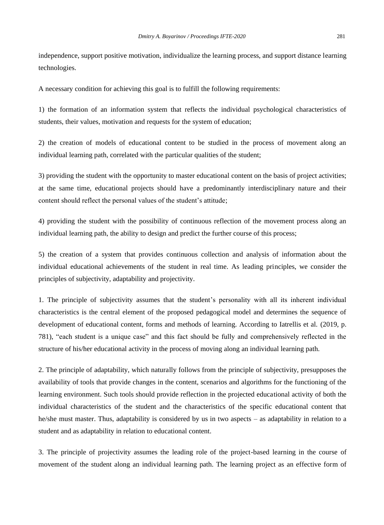independence, support positive motivation, individualize the learning process, and support distance learning technologies.

A necessary condition for achieving this goal is to fulfill the following requirements:

1) the formation of an information system that reflects the individual psychological characteristics of students, their values, motivation and requests for the system of education;

2) the creation of models of educational content to be studied in the process of movement along an individual learning path, correlated with the particular qualities of the student;

3) providing the student with the opportunity to master educational content on the basis of project activities; at the same time, educational projects should have a predominantly interdisciplinary nature and their content should reflect the personal values of the student's attitude;

4) providing the student with the possibility of continuous reflection of the movement process along an individual learning path, the ability to design and predict the further course of this process;

5) the creation of a system that provides continuous collection and analysis of information about the individual educational achievements of the student in real time. As leading principles, we consider the principles of subjectivity, adaptability and projectivity.

1. The principle of subjectivity assumes that the student's personality with all its inherent individual characteristics is the central element of the proposed pedagogical model and determines the sequence of development of educational content, forms and methods of learning. According to Iatrellis et al. (2019, p. 781), "each student is a unique case" and this fact should be fully and comprehensively reflected in the structure of his/her educational activity in the process of moving along an individual learning path.

2. The principle of adaptability, which naturally follows from the principle of subjectivity, presupposes the availability of tools that provide changes in the content, scenarios and algorithms for the functioning of the learning environment. Such tools should provide reflection in the projected educational activity of both the individual characteristics of the student and the characteristics of the specific educational content that he/she must master. Thus, adaptability is considered by us in two aspects – as adaptability in relation to a student and as adaptability in relation to educational content.

3. The principle of projectivity assumes the leading role of the project-based learning in the course of movement of the student along an individual learning path. The learning project as an effective form of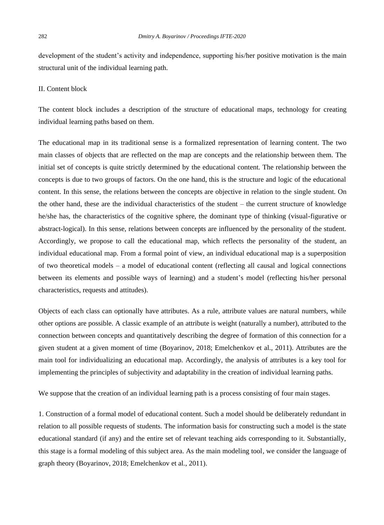development of the student's activity and independence, supporting his/her positive motivation is the main structural unit of the individual learning path.

# II. Content block

The content block includes a description of the structure of educational maps, technology for creating individual learning paths based on them.

The educational map in its traditional sense is a formalized representation of learning content. The two main classes of objects that are reflected on the map are concepts and the relationship between them. The initial set of concepts is quite strictly determined by the educational content. The relationship between the concepts is due to two groups of factors. On the one hand, this is the structure and logic of the educational content. In this sense, the relations between the concepts are objective in relation to the single student. On the other hand, these are the individual characteristics of the student – the current structure of knowledge he/she has, the characteristics of the cognitive sphere, the dominant type of thinking (visual-figurative or abstract-logical). In this sense, relations between concepts are influenced by the personality of the student. Accordingly, we propose to call the educational map, which reflects the personality of the student, an individual educational map. From a formal point of view, an individual educational map is a superposition of two theoretical models – a model of educational content (reflecting all causal and logical connections between its elements and possible ways of learning) and a student's model (reflecting his/her personal characteristics, requests and attitudes).

Objects of each class can optionally have attributes. As a rule, attribute values are natural numbers, while other options are possible. A classic example of an attribute is weight (naturally a number), attributed to the connection between concepts and quantitatively describing the degree of formation of this connection for a given student at a given moment of time (Boyarinov, 2018; Emelchenkov et al., 2011). Attributes are the main tool for individualizing an educational map. Accordingly, the analysis of attributes is a key tool for implementing the principles of subjectivity and adaptability in the creation of individual learning paths.

We suppose that the creation of an individual learning path is a process consisting of four main stages.

1. Construction of a formal model of educational content. Such a model should be deliberately redundant in relation to all possible requests of students. The information basis for constructing such a model is the state educational standard (if any) and the entire set of relevant teaching aids corresponding to it. Substantially, this stage is a formal modeling of this subject area. As the main modeling tool, we consider the language of graph theory (Boyarinov, 2018; Emelchenkov et al., 2011).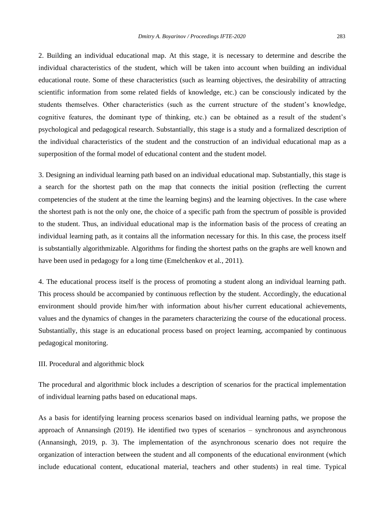2. Building an individual educational map. At this stage, it is necessary to determine and describe the individual characteristics of the student, which will be taken into account when building an individual educational route. Some of these characteristics (such as learning objectives, the desirability of attracting scientific information from some related fields of knowledge, etc.) can be consciously indicated by the students themselves. Other characteristics (such as the current structure of the student's knowledge, cognitive features, the dominant type of thinking, etc.) can be obtained as a result of the student's psychological and pedagogical research. Substantially, this stage is a study and a formalized description of the individual characteristics of the student and the construction of an individual educational map as a superposition of the formal model of educational content and the student model.

3. Designing an individual learning path based on an individual educational map. Substantially, this stage is a search for the shortest path on the map that connects the initial position (reflecting the current competencies of the student at the time the learning begins) and the learning objectives. In the case where the shortest path is not the only one, the choice of a specific path from the spectrum of possible is provided to the student. Thus, an individual educational map is the information basis of the process of creating an individual learning path, as it contains all the information necessary for this. In this case, the process itself is substantially algorithmizable. Algorithms for finding the shortest paths on the graphs are well known and have been used in pedagogy for a long time (Emelchenkov et al., 2011).

4. The educational process itself is the process of promoting a student along an individual learning path. This process should be accompanied by continuous reflection by the student. Accordingly, the educational environment should provide him/her with information about his/her current educational achievements, values and the dynamics of changes in the parameters characterizing the course of the educational process. Substantially, this stage is an educational process based on project learning, accompanied by continuous pedagogical monitoring.

#### III. Procedural and algorithmic block

The procedural and algorithmic block includes a description of scenarios for the practical implementation of individual learning paths based on educational maps.

As a basis for identifying learning process scenarios based on individual learning paths, we propose the approach of Annansingh (2019). He identified two types of scenarios – synchronous and asynchronous (Annansingh, 2019, p. 3). The implementation of the asynchronous scenario does not require the organization of interaction between the student and all components of the educational environment (which include educational content, educational material, teachers and other students) in real time. Typical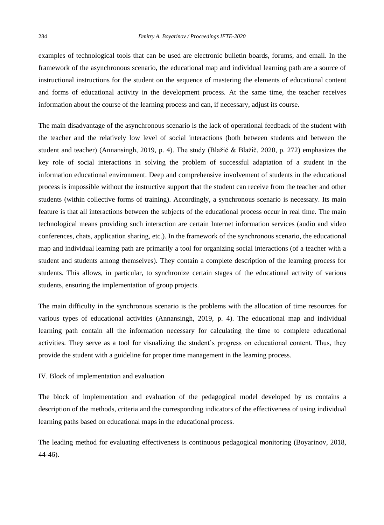examples of technological tools that can be used are electronic bulletin boards, forums, and email. In the framework of the asynchronous scenario, the educational map and individual learning path are a source of instructional instructions for the student on the sequence of mastering the elements of educational content and forms of educational activity in the development process. At the same time, the teacher receives information about the course of the learning process and can, if necessary, adjust its course.

The main disadvantage of the asynchronous scenario is the lack of operational feedback of the student with the teacher and the relatively low level of social interactions (both between students and between the student and teacher) (Annansingh, 2019, p. 4). The study (Blažič & Blažič, 2020, p. 272) emphasizes the key role of social interactions in solving the problem of successful adaptation of a student in the information educational environment. Deep and comprehensive involvement of students in the educational process is impossible without the instructive support that the student can receive from the teacher and other students (within collective forms of training). Accordingly, a synchronous scenario is necessary. Its main feature is that all interactions between the subjects of the educational process occur in real time. The main technological means providing such interaction are certain Internet information services (audio and video conferences, chats, application sharing, etc.). In the framework of the synchronous scenario, the educational map and individual learning path are primarily a tool for organizing social interactions (of a teacher with a student and students among themselves). They contain a complete description of the learning process for students. This allows, in particular, to synchronize certain stages of the educational activity of various students, ensuring the implementation of group projects.

The main difficulty in the synchronous scenario is the problems with the allocation of time resources for various types of educational activities (Annansingh, 2019, p. 4). The educational map and individual learning path contain all the information necessary for calculating the time to complete educational activities. They serve as a tool for visualizing the student's progress on educational content. Thus, they provide the student with a guideline for proper time management in the learning process.

### IV. Block of implementation and evaluation

The block of implementation and evaluation of the pedagogical model developed by us contains a description of the methods, criteria and the corresponding indicators of the effectiveness of using individual learning paths based on educational maps in the educational process.

The leading method for evaluating effectiveness is continuous pedagogical monitoring (Boyarinov, 2018, 44-46).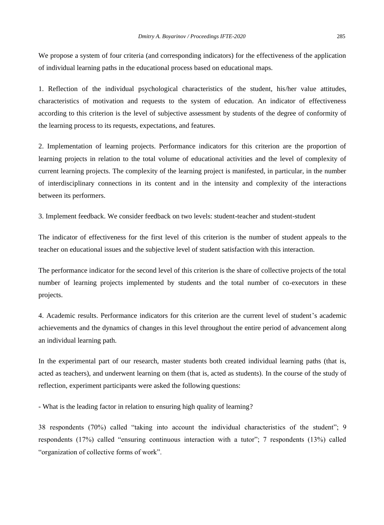We propose a system of four criteria (and corresponding indicators) for the effectiveness of the application of individual learning paths in the educational process based on educational maps.

1. Reflection of the individual psychological characteristics of the student, his/her value attitudes, characteristics of motivation and requests to the system of education. An indicator of effectiveness according to this criterion is the level of subjective assessment by students of the degree of conformity of the learning process to its requests, expectations, and features.

2. Implementation of learning projects. Performance indicators for this criterion are the proportion of learning projects in relation to the total volume of educational activities and the level of complexity of current learning projects. The complexity of the learning project is manifested, in particular, in the number of interdisciplinary connections in its content and in the intensity and complexity of the interactions between its performers.

3. Implement feedback. We consider feedback on two levels: student-teacher and student-student

The indicator of effectiveness for the first level of this criterion is the number of student appeals to the teacher on educational issues and the subjective level of student satisfaction with this interaction.

The performance indicator for the second level of this criterion is the share of collective projects of the total number of learning projects implemented by students and the total number of co-executors in these projects.

4. Academic results. Performance indicators for this criterion are the current level of student's academic achievements and the dynamics of changes in this level throughout the entire period of advancement along an individual learning path.

In the experimental part of our research, master students both created individual learning paths (that is, acted as teachers), and underwent learning on them (that is, acted as students). In the course of the study of reflection, experiment participants were asked the following questions:

- What is the leading factor in relation to ensuring high quality of learning?

38 respondents (70%) called "taking into account the individual characteristics of the student"; 9 respondents (17%) called "ensuring continuous interaction with a tutor"; 7 respondents (13%) called "organization of collective forms of work".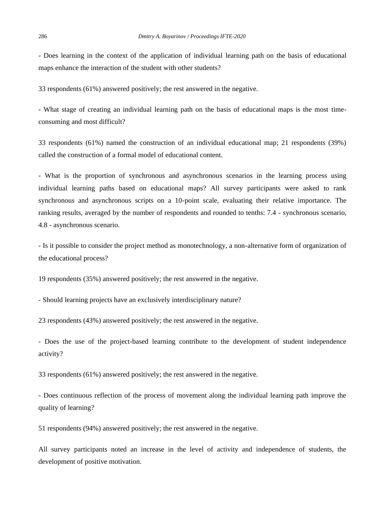- Does learning in the context of the application of individual learning path on the basis of educational maps enhance the interaction of the student with other students?

33 respondents (61%) answered positively; the rest answered in the negative.

- What stage of creating an individual learning path on the basis of educational maps is the most timeconsuming and most difficult?

33 respondents (61%) named the construction of an individual educational map; 21 respondents (39%) called the construction of a formal model of educational content.

- What is the proportion of synchronous and asynchronous scenarios in the learning process using individual learning paths based on educational maps? All survey participants were asked to rank synchronous and asynchronous scripts on a 10-point scale, evaluating their relative importance. The ranking results, averaged by the number of respondents and rounded to tenths: 7.4 - synchronous scenario, 4.8 - asynchronous scenario.

- Is it possible to consider the project method as monotechnology, a non-alternative form of organization of the educational process?

19 respondents (35%) answered positively; the rest answered in the negative.

- Should learning projects have an exclusively interdisciplinary nature?

23 respondents (43%) answered positively; the rest answered in the negative.

- Does the use of the project-based learning contribute to the development of student independence activity?

33 respondents (61%) answered positively; the rest answered in the negative.

- Does continuous reflection of the process of movement along the individual learning path improve the quality of learning?

51 respondents (94%) answered positively; the rest answered in the negative.

All survey participants noted an increase in the level of activity and independence of students, the development of positive motivation.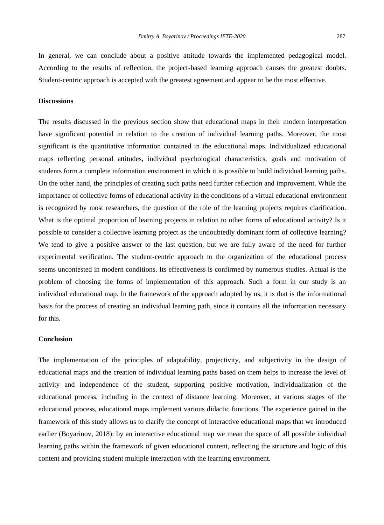In general, we can conclude about a positive attitude towards the implemented pedagogical model. According to the results of reflection, the project-based learning approach causes the greatest doubts. Student-centric approach is accepted with the greatest agreement and appear to be the most effective.

# **Discussions**

The results discussed in the previous section show that educational maps in their modern interpretation have significant potential in relation to the creation of individual learning paths. Moreover, the most significant is the quantitative information contained in the educational maps. Individualized educational maps reflecting personal attitudes, individual psychological characteristics, goals and motivation of students form a complete information environment in which it is possible to build individual learning paths. On the other hand, the principles of creating such paths need further reflection and improvement. While the importance of collective forms of educational activity in the conditions of a virtual educational environment is recognized by most researchers, the question of the role of the learning projects requires clarification. What is the optimal proportion of learning projects in relation to other forms of educational activity? Is it possible to consider a collective learning project as the undoubtedly dominant form of collective learning? We tend to give a positive answer to the last question, but we are fully aware of the need for further experimental verification. The student-centric approach to the organization of the educational process seems uncontested in modern conditions. Its effectiveness is confirmed by numerous studies. Actual is the problem of choosing the forms of implementation of this approach. Such a form in our study is an individual educational map. In the framework of the approach adopted by us, it is that is the informational basis for the process of creating an individual learning path, since it contains all the information necessary for this.

# **Conclusion**

The implementation of the principles of adaptability, projectivity, and subjectivity in the design of educational maps and the creation of individual learning paths based on them helps to increase the level of activity and independence of the student, supporting positive motivation, individualization of the educational process, including in the context of distance learning. Moreover, at various stages of the educational process, educational maps implement various didactic functions. The experience gained in the framework of this study allows us to clarify the concept of interactive educational maps that we introduced earlier (Boyarinov, 2018): by an interactive educational map we mean the space of all possible individual learning paths within the framework of given educational content, reflecting the structure and logic of this content and providing student multiple interaction with the learning environment.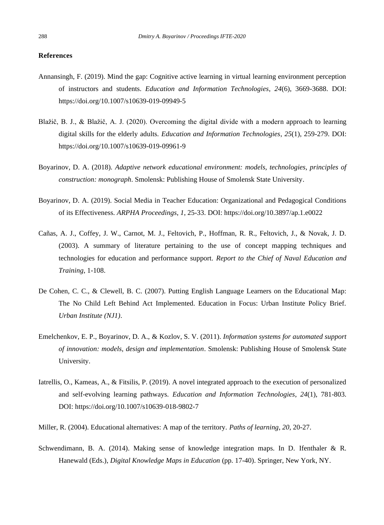## **References**

- Annansingh, F. (2019). Mind the gap: Cognitive active learning in virtual learning environment perception of instructors and students. *Education and Information Technologies*, *24*(6), 3669-3688. DOI: <https://doi.org/10.1007/s10639-019-09949-5>
- Blažič, B. J., & Blažič, A. J. (2020). Overcoming the digital divide with a modern approach to learning digital skills for the elderly adults. *Education and Information Technologies*, *25*(1), 259-279. DOI: <https://doi.org/10.1007/s10639-019-09961-9>
- Boyarinov, D. A. (2018). *Adaptive network educational environment: models, technologies, principles of construction: monograph*. Smolensk: Publishing House of Smolensk State University.
- Boyarinov, D. A. (2019). Social Media in Teacher Education: Organizational and Pedagogical Conditions of its Effectiveness. *ARPHA Proceedings*, *1*, 25-33. DOI: <https://doi.org/10.3897/ap.1.e0022>
- Cañas, A. J., Coffey, J. W., Carnot, M. J., Feltovich, P., Hoffman, R. R., Feltovich, J., & Novak, J. D. (2003). A summary of literature pertaining to the use of concept mapping techniques and technologies for education and performance support. *Report to the Chief of Naval Education and Training*, 1-108.
- De Cohen, C. C., & Clewell, B. C. (2007). Putting English Language Learners on the Educational Map: The No Child Left Behind Act Implemented. Education in Focus: Urban Institute Policy Brief. *Urban Institute (NJ1)*.
- Emelchenkov, E. P., Boyarinov, D. A., & Kozlov, S. V. (2011). *Information systems for automated support of innovation: models, design and implementation*. Smolensk: Publishing House of Smolensk State University.
- Iatrellis, O., Kameas, A., & Fitsilis, P. (2019). A novel integrated approach to the execution of personalized and self-evolving learning pathways. *Education and Information Technologies*, *24*(1), 781-803. DOI: <https://doi.org/10.1007/s10639-018-9802-7>
- Miller, R. (2004). Educational alternatives: A map of the territory. *Paths of learning*, *20*, 20-27.
- Schwendimann, B. A. (2014). Making sense of knowledge integration maps. In D. Ifenthaler & R. Hanewald (Eds.), *Digital Knowledge Maps in Education* (pp. 17-40). Springer, New York, NY.